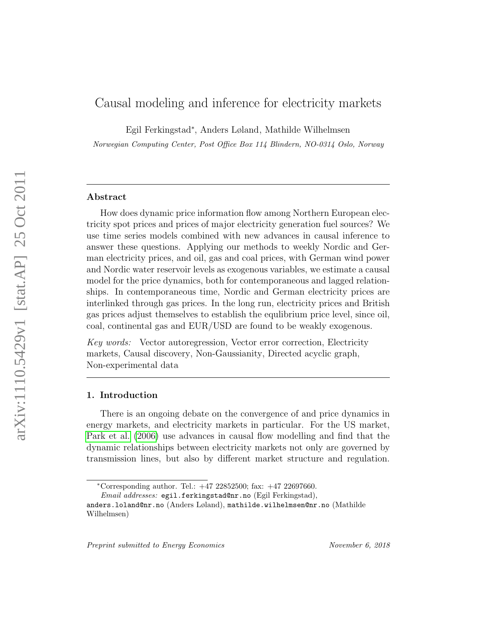# Causal modeling and inference for electricity markets

Egil Ferkingstad<sup>∗</sup> , Anders Løland, Mathilde Wilhelmsen

Norwegian Computing Center, Post Office Box 114 Blindern, NO-0314 Oslo, Norway

# Abstract

How does dynamic price information flow among Northern European electricity spot prices and prices of major electricity generation fuel sources? We use time series models combined with new advances in causal inference to answer these questions. Applying our methods to weekly Nordic and German electricity prices, and oil, gas and coal prices, with German wind power and Nordic water reservoir levels as exogenous variables, we estimate a causal model for the price dynamics, both for contemporaneous and lagged relationships. In contemporaneous time, Nordic and German electricity prices are interlinked through gas prices. In the long run, electricity prices and British gas prices adjust themselves to establish the equlibrium price level, since oil, coal, continental gas and EUR/USD are found to be weakly exogenous.

Key words: Vector autoregression, Vector error correction, Electricity markets, Causal discovery, Non-Gaussianity, Directed acyclic graph, Non-experimental data

#### 1. Introduction

There is an ongoing debate on the convergence of and price dynamics in energy markets, and electricity markets in particular. For the US market, [Park et al.](#page-26-0) [\(2006\)](#page-26-0) use advances in causal flow modelling and find that the dynamic relationships between electricity markets not only are governed by transmission lines, but also by different market structure and regulation.

<sup>∗</sup>Corresponding author. Tel.: +47 22852500; fax: +47 22697660.

Email addresses: egil.ferkingstad@nr.no (Egil Ferkingstad),

anders.loland@nr.no (Anders Løland), mathilde.wilhelmsen@nr.no (Mathilde Wilhelmsen)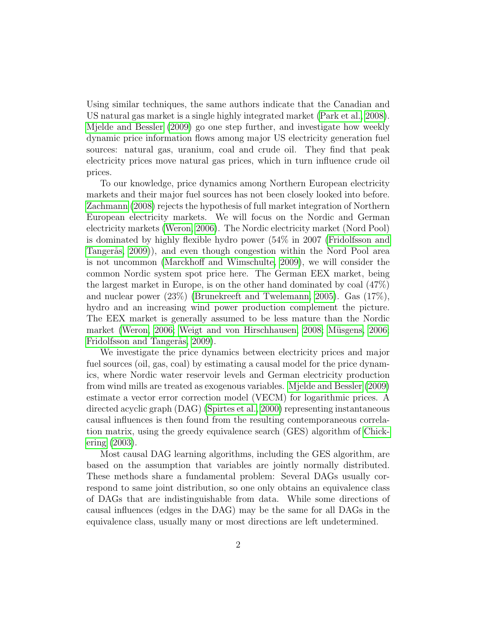Using similar techniques, the same authors indicate that the Canadian and US natural gas market is a single highly integrated market [\(Park et al., 2008\)](#page-26-1). [Mjelde and Bessler](#page-25-0) [\(2009\)](#page-25-0) go one step further, and investigate how weekly dynamic price information flows among major US electricity generation fuel sources: natural gas, uranium, coal and crude oil. They find that peak electricity prices move natural gas prices, which in turn influence crude oil prices.

To our knowledge, price dynamics among Northern European electricity markets and their major fuel sources has not been closely looked into before. [Zachmann](#page-27-0) [\(2008\)](#page-27-0) rejects the hypothesis of full market integration of Northern European electricity markets. We will focus on the Nordic and German electricity markets [\(Weron, 2006\)](#page-26-2). The Nordic electricity market (Nord Pool) is dominated by highly flexible hydro power (54% in 2007 [\(Fridolfsson and](#page-24-0) Tangerås, 2009), and even though congestion within the Nord Pool area is not uncommon [\(Marckhoff and Wimschulte, 2009\)](#page-25-1), we will consider the common Nordic system spot price here. The German EEX market, being the largest market in Europe, is on the other hand dominated by coal (47%) and nuclear power (23%) [\(Brunekreeft and Twelemann, 2005\)](#page-24-1). Gas (17%), hydro and an increasing wind power production complement the picture. The EEX market is generally assumed to be less mature than the Nordic market [\(Weron, 2006;](#page-26-2) [Weigt and von Hirschhausen, 2008;](#page-26-3) Müsgens, 2006; Fridolfsson and Tangerås, 2009).

We investigate the price dynamics between electricity prices and major fuel sources (oil, gas, coal) by estimating a causal model for the price dynamics, where Nordic water reservoir levels and German electricity production from wind mills are treated as exogenous variables. [Mjelde and Bessler](#page-25-0) [\(2009\)](#page-25-0) estimate a vector error correction model (VECM) for logarithmic prices. A directed acyclic graph (DAG) [\(Spirtes et al., 2000\)](#page-26-4) representing instantaneous causal influences is then found from the resulting contemporaneous correlation matrix, using the greedy equivalence search (GES) algorithm of [Chick](#page-24-2)[ering](#page-24-2) [\(2003\)](#page-24-2).

Most causal DAG learning algorithms, including the GES algorithm, are based on the assumption that variables are jointly normally distributed. These methods share a fundamental problem: Several DAGs usually correspond to same joint distribution, so one only obtains an equivalence class of DAGs that are indistinguishable from data. While some directions of causal influences (edges in the DAG) may be the same for all DAGs in the equivalence class, usually many or most directions are left undetermined.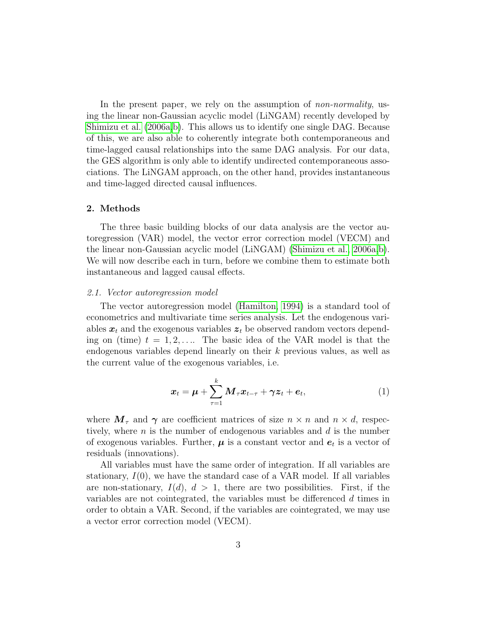In the present paper, we rely on the assumption of *non-normality*, using the linear non-Gaussian acyclic model (LiNGAM) recently developed by [Shimizu et al.](#page-26-5) [\(2006a](#page-26-5)[,b\)](#page-26-6). This allows us to identify one single DAG. Because of this, we are also able to coherently integrate both contemporaneous and time-lagged causal relationships into the same DAG analysis. For our data, the GES algorithm is only able to identify undirected contemporaneous associations. The LiNGAM approach, on the other hand, provides instantaneous and time-lagged directed causal influences.

#### 2. Methods

The three basic building blocks of our data analysis are the vector autoregression (VAR) model, the vector error correction model (VECM) and the linear non-Gaussian acyclic model (LiNGAM) [\(Shimizu et al., 2006a,](#page-26-5)[b\)](#page-26-6). We will now describe each in turn, before we combine them to estimate both instantaneous and lagged causal effects.

#### 2.1. Vector autoregression model

The vector autoregression model [\(Hamilton, 1994\)](#page-24-3) is a standard tool of econometrics and multivariate time series analysis. Let the endogenous variables  $x_t$  and the exogenous variables  $z_t$  be observed random vectors depending on (time)  $t = 1, 2, \ldots$  The basic idea of the VAR model is that the endogenous variables depend linearly on their k previous values, as well as the current value of the exogenous variables, i.e.

<span id="page-2-0"></span>
$$
\boldsymbol{x}_t = \boldsymbol{\mu} + \sum_{\tau=1}^k \boldsymbol{M}_{\tau} \boldsymbol{x}_{t-\tau} + \boldsymbol{\gamma} \boldsymbol{z}_t + \boldsymbol{e}_t, \tag{1}
$$

where  $M_{\tau}$  and  $\gamma$  are coefficient matrices of size  $n \times n$  and  $n \times d$ , respectively, where  $n$  is the number of endogenous variables and  $d$  is the number of exogenous variables. Further,  $\mu$  is a constant vector and  $e_t$  is a vector of residuals (innovations).

All variables must have the same order of integration. If all variables are stationary,  $I(0)$ , we have the standard case of a VAR model. If all variables are non-stationary,  $I(d)$ ,  $d > 1$ , there are two possibilities. First, if the variables are not cointegrated, the variables must be differenced d times in order to obtain a VAR. Second, if the variables are cointegrated, we may use a vector error correction model (VECM).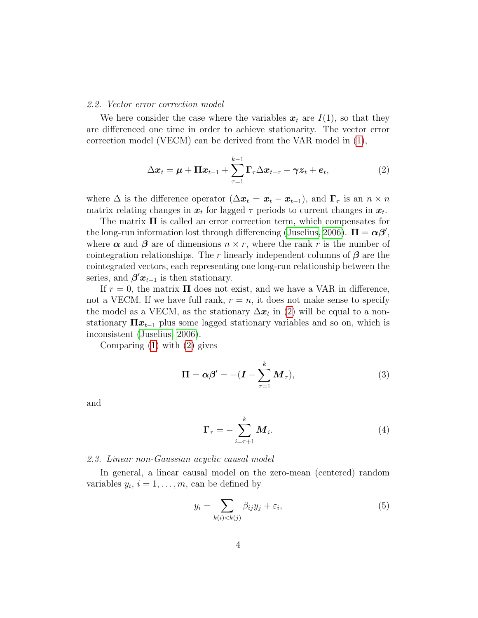#### 2.2. Vector error correction model

We here consider the case where the variables  $x_t$  are  $I(1)$ , so that they are differenced one time in order to achieve stationarity. The vector error correction model (VECM) can be derived from the VAR model in [\(1\)](#page-2-0),

<span id="page-3-0"></span>
$$
\Delta \boldsymbol{x}_t = \boldsymbol{\mu} + \boldsymbol{\Pi} \boldsymbol{x}_{t-1} + \sum_{\tau=1}^{k-1} \boldsymbol{\Gamma}_{\tau} \Delta \boldsymbol{x}_{t-\tau} + \boldsymbol{\gamma} \boldsymbol{z}_t + \boldsymbol{e}_t, \tag{2}
$$

where  $\Delta$  is the difference operator  $(\Delta x_t = x_t - x_{t-1})$ , and  $\Gamma_{\tau}$  is an  $n \times n$ matrix relating changes in  $x_t$  for lagged  $\tau$  periods to current changes in  $x_t$ .

The matrix  $\Pi$  is called an error correction term, which compensates for the long-run information lost through differencing [\(Juselius, 2006\)](#page-25-3).  $\Pi = \alpha \beta'$ , where  $\alpha$  and  $\beta$  are of dimensions  $n \times r$ , where the rank r is the number of cointegration relationships. The r linearly independent columns of  $\beta$  are the cointegrated vectors, each representing one long-run relationship between the series, and  $\beta' x_{t-1}$  is then stationary.

If  $r = 0$ , the matrix  $\Pi$  does not exist, and we have a VAR in difference, not a VECM. If we have full rank,  $r = n$ , it does not make sense to specify the model as a VECM, as the stationary  $\Delta x_t$  in [\(2\)](#page-3-0) will be equal to a nonstationary  $\Pi x_{t-1}$  plus some lagged stationary variables and so on, which is inconsistent [\(Juselius, 2006\)](#page-25-3).

Comparing [\(1\)](#page-2-0) with [\(2\)](#page-3-0) gives

$$
\mathbf{\Pi} = \boldsymbol{\alpha} \boldsymbol{\beta}' = -(\boldsymbol{I} - \sum_{\tau=1}^{k} \boldsymbol{M}_{\tau}), \qquad (3)
$$

and

<span id="page-3-4"></span><span id="page-3-3"></span>
$$
\Gamma_{\tau} = -\sum_{i=\tau+1}^{k} M_i. \tag{4}
$$

### <span id="page-3-2"></span>2.3. Linear non-Gaussian acyclic causal model

In general, a linear causal model on the zero-mean (centered) random variables  $y_i$ ,  $i = 1, \ldots, m$ , can be defined by

<span id="page-3-1"></span>
$$
y_i = \sum_{k(i) < k(j)} \beta_{ij} y_j + \varepsilon_i,\tag{5}
$$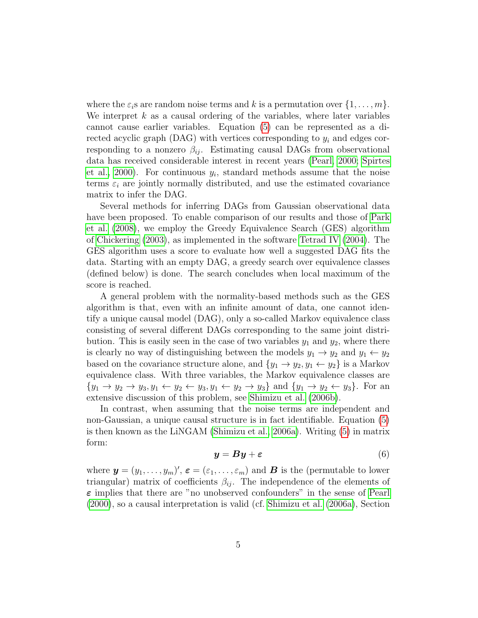where the  $\varepsilon_i$ s are random noise terms and k is a permutation over  $\{1, \ldots, m\}$ . We interpret  $k$  as a causal ordering of the variables, where later variables cannot cause earlier variables. Equation [\(5\)](#page-3-1) can be represented as a directed acyclic graph (DAG) with vertices corresponding to  $y_i$  and edges corresponding to a nonzero  $\beta_{ij}$ . Estimating causal DAGs from observational data has received considerable interest in recent years [\(Pearl, 2000;](#page-26-7) [Spirtes](#page-26-4) [et al., 2000\)](#page-26-4). For continuous  $y_i$ , standard methods assume that the noise terms  $\varepsilon_i$  are jointly normally distributed, and use the estimated covariance matrix to infer the DAG.

Several methods for inferring DAGs from Gaussian observational data have been proposed. To enable comparison of our results and those of [Park](#page-26-1) [et al.](#page-26-1) [\(2008\)](#page-26-1), we employ the Greedy Equivalence Search (GES) algorithm of [Chickering](#page-24-2) [\(2003\)](#page-24-2), as implemented in the software [Tetrad IV](#page-26-8) [\(2004\)](#page-26-8). The GES algorithm uses a score to evaluate how well a suggested DAG fits the data. Starting with an empty DAG, a greedy search over equivalence classes (defined below) is done. The search concludes when local maximum of the score is reached.

A general problem with the normality-based methods such as the GES algorithm is that, even with an infinite amount of data, one cannot identify a unique causal model (DAG), only a so-called Markov equivalence class consisting of several different DAGs corresponding to the same joint distribution. This is easily seen in the case of two variables  $y_1$  and  $y_2$ , where there is clearly no way of distinguishing between the models  $y_1 \rightarrow y_2$  and  $y_1 \leftarrow y_2$ based on the covariance structure alone, and  $\{y_1 \rightarrow y_2, y_1 \leftarrow y_2\}$  is a Markov equivalence class. With three variables, the Markov equivalence classes are  ${y_1 \rightarrow y_2 \rightarrow y_3, y_1 \leftarrow y_2 \leftarrow y_3, y_1 \leftarrow y_2 \rightarrow y_3}$  and  ${y_1 \rightarrow y_2 \leftarrow y_3}$ . For an extensive discussion of this problem, see [Shimizu et al.](#page-26-6) [\(2006b\)](#page-26-6).

In contrast, when assuming that the noise terms are independent and non-Gaussian, a unique causal structure is in fact identifiable. Equation [\(5\)](#page-3-1) is then known as the LiNGAM [\(Shimizu et al., 2006a\)](#page-26-5). Writing [\(5\)](#page-3-1) in matrix form:

<span id="page-4-0"></span>
$$
y = By + \varepsilon \tag{6}
$$

where  $\mathbf{y}=(y_1,\ldots,y_m)'$ ,  $\boldsymbol{\varepsilon}=(\varepsilon_1,\ldots,\varepsilon_m)$  and  $\boldsymbol{B}$  is the (permutable to lower triangular) matrix of coefficients  $\beta_{ij}$ . The independence of the elements of  $\varepsilon$  implies that there are "no unobserved confounders" in the sense of [Pearl](#page-26-7) [\(2000\)](#page-26-7), so a causal interpretation is valid (cf. [Shimizu et al.](#page-26-5) [\(2006a\)](#page-26-5), Section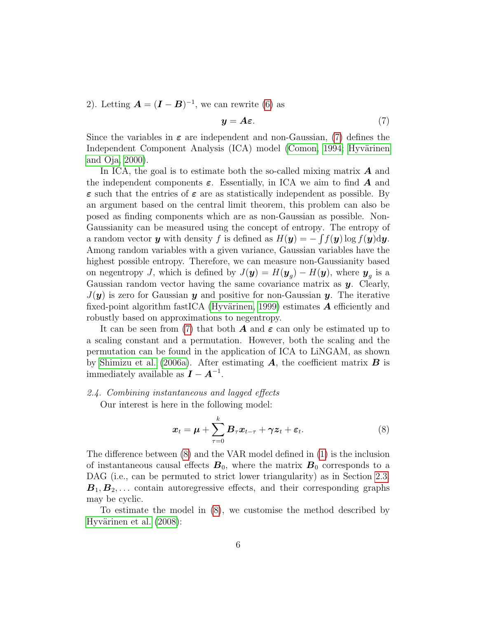2). Letting  $\mathbf{A} = (\mathbf{I} - \mathbf{B})^{-1}$ , we can rewrite [\(6\)](#page-4-0) as

<span id="page-5-0"></span>
$$
y = A\varepsilon. \tag{7}
$$

Since the variables in  $\varepsilon$  are independent and non-Gaussian, [\(7\)](#page-5-0) defines the Independent Component Analysis (ICA) model [\(Comon, 1994;](#page-24-4) Hyvärinen [and Oja, 2000\)](#page-25-4).

In ICA, the goal is to estimate both the so-called mixing matrix  $\boldsymbol{A}$  and the independent components  $\varepsilon$ . Essentially, in ICA we aim to find A and  $\varepsilon$  such that the entries of  $\varepsilon$  are as statistically independent as possible. By an argument based on the central limit theorem, this problem can also be posed as finding components which are as non-Gaussian as possible. Non-Gaussianity can be measured using the concept of entropy. The entropy of a random vector y with density f is defined as  $H(\mathbf{y}) = -\int f(\mathbf{y}) \log f(\mathbf{y}) \mathrm{d}\mathbf{y}$ . Among random variables with a given variance, Gaussian variables have the highest possible entropy. Therefore, we can measure non-Gaussianity based on negentropy J, which is defined by  $J(\mathbf{y}) = H(\mathbf{y}_g) - H(\mathbf{y})$ , where  $\mathbf{y}_g$  is a Gaussian random vector having the same covariance matrix as  $y$ . Clearly,  $J(y)$  is zero for Gaussian y and positive for non-Gaussian y. The iterative fixed-point algorithm fastICA (Hyvärinen, 1999) estimates  $\boldsymbol{A}$  efficiently and robustly based on approximations to negentropy.

It can be seen from [\(7\)](#page-5-0) that both **A** and  $\varepsilon$  can only be estimated up to a scaling constant and a permutation. However, both the scaling and the permutation can be found in the application of ICA to LiNGAM, as shown by [Shimizu et al.](#page-26-5) [\(2006a\)](#page-26-5). After estimating  $A$ , the coefficient matrix  $B$  is immediately available as  $\boldsymbol{I} - \boldsymbol{A}^{-1}$ .

# <span id="page-5-2"></span>2.4. Combining instantaneous and lagged effects

Our interest is here in the following model:

<span id="page-5-1"></span>
$$
\boldsymbol{x}_t = \boldsymbol{\mu} + \sum_{\tau=0}^k \boldsymbol{B}_{\tau} \boldsymbol{x}_{t-\tau} + \boldsymbol{\gamma} \boldsymbol{z}_t + \boldsymbol{\varepsilon}_t. \tag{8}
$$

The difference between [\(8\)](#page-5-1) and the VAR model defined in [\(1\)](#page-2-0) is the inclusion of instantaneous causal effects  $B_0$ , where the matrix  $B_0$  corresponds to a DAG (i.e., can be permuted to strict lower triangularity) as in Section [2.3.](#page-3-2)  $\mathbf{B}_1, \mathbf{B}_2, \ldots$  contain autoregressive effects, and their corresponding graphs may be cyclic.

To estimate the model in [\(8\)](#page-5-1), we customise the method described by Hyvärinen et al.  $(2008)$ :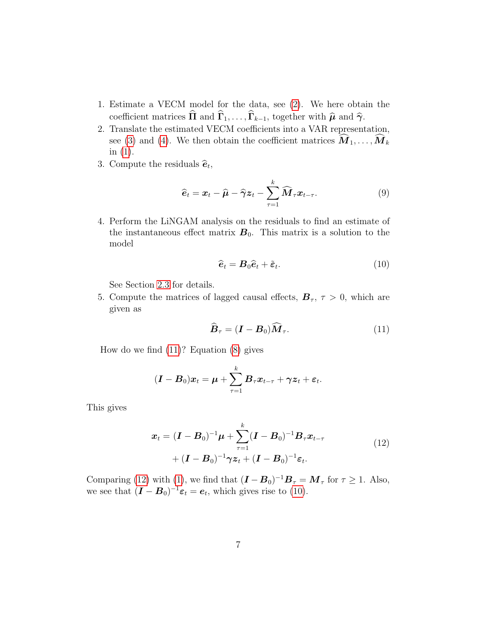- 1. Estimate a VECM model for the data, see [\(2\)](#page-3-0). We here obtain the coefficient matrices  $\widehat{\Pi}$  and  $\widehat{\Gamma}_1, \ldots, \widehat{\Gamma}_{k-1}$ , together with  $\widehat{\mu}$  and  $\widehat{\gamma}$ .
- 2. Translate the estimated VECM coefficients into a VAR representation, see [\(3\)](#page-3-3) and [\(4\)](#page-3-4). We then obtain the coefficient matrices  $\mathbf{\hat{M}}_1, \ldots, \mathbf{\hat{M}}_k$ in [\(1\)](#page-2-0).
- 3. Compute the residuals  $\hat{\boldsymbol{e}}_t$ ,

$$
\widehat{\boldsymbol{e}}_t = \boldsymbol{x}_t - \widehat{\boldsymbol{\mu}} - \widehat{\boldsymbol{\gamma}} \boldsymbol{z}_t - \sum_{\tau=1}^k \widehat{\boldsymbol{M}}_\tau \boldsymbol{x}_{t-\tau}.
$$
\n(9)

4. Perform the LiNGAM analysis on the residuals to find an estimate of the instantaneous effect matrix  $B_0$ . This matrix is a solution to the model

<span id="page-6-2"></span>
$$
\widehat{\boldsymbol{e}}_t = \boldsymbol{B}_0 \widehat{\boldsymbol{e}}_t + \widetilde{\boldsymbol{\varepsilon}}_t. \tag{10}
$$

See Section [2.3](#page-3-2) for details.

5. Compute the matrices of lagged causal effects,  $\mathbf{B}_{\tau}$ ,  $\tau > 0$ , which are given as

<span id="page-6-1"></span><span id="page-6-0"></span>
$$
\widehat{\boldsymbol{B}}_{\tau} = (\boldsymbol{I} - \boldsymbol{B}_0) \widehat{\boldsymbol{M}}_{\tau}.
$$
\n(11)

How do we find [\(11\)](#page-6-0)? Equation [\(8\)](#page-5-1) gives

$$
(\boldsymbol{I}-\boldsymbol{B}_0)\boldsymbol{x}_t = \boldsymbol{\mu} + \sum_{\tau=1}^k \boldsymbol{B}_{\tau} \boldsymbol{x}_{t-\tau} + \boldsymbol{\gamma} \boldsymbol{z}_t + \boldsymbol{\varepsilon}_t.
$$

This gives

$$
\boldsymbol{x}_{t} = (\boldsymbol{I} - \boldsymbol{B}_{0})^{-1} \boldsymbol{\mu} + \sum_{\tau=1}^{k} (\boldsymbol{I} - \boldsymbol{B}_{0})^{-1} \boldsymbol{B}_{\tau} \boldsymbol{x}_{t-\tau} \n+ (\boldsymbol{I} - \boldsymbol{B}_{0})^{-1} \boldsymbol{\gamma} \boldsymbol{z}_{t} + (\boldsymbol{I} - \boldsymbol{B}_{0})^{-1} \boldsymbol{\varepsilon}_{t}.
$$
\n(12)

Comparing [\(12\)](#page-6-1) with [\(1\)](#page-2-0), we find that  $(I - B_0)^{-1}B_\tau = M_\tau$  for  $\tau \ge 1$ . Also, we see that  $(I - B_0)^{-1} \varepsilon_t = e_t$ , which gives rise to [\(10\)](#page-6-2).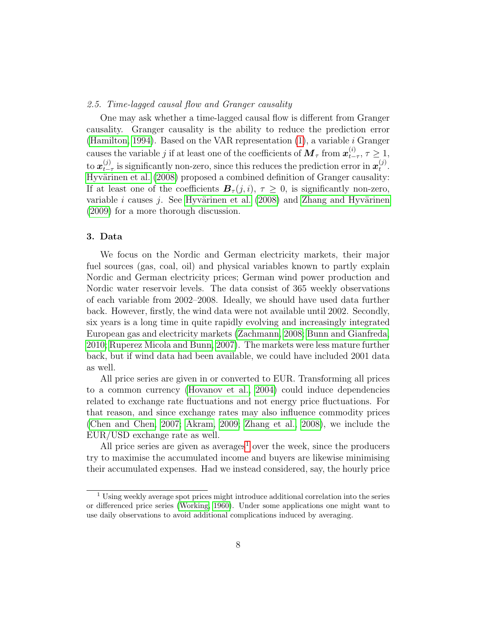## 2.5. Time-lagged causal flow and Granger causality

One may ask whether a time-lagged causal flow is different from Granger causality. Granger causality is the ability to reduce the prediction error [\(Hamilton, 1994\)](#page-24-3). Based on the VAR representation  $(1)$ , a variable *i* Granger causes the variable  $j$  if at least one of the coefficients of  $\bm{M}_{\tau}$  from  $\bm{x}_{t-}^{(i)}$  $t_{-\tau}^{(i)}, \tau \geq 1,$ to  $\boldsymbol{x}_{t-}^{(j)}$  $_{t-\tau}^{(j)}$  is significantly non-zero, since this reduces the prediction error in  $\boldsymbol{x}_{t}^{(j)}$  $\binom{J}{t}$ . Hyvärinen et al. [\(2008\)](#page-25-6) proposed a combined definition of Granger causality: If at least one of the coefficients  $B_{\tau}(j, i)$ ,  $\tau \geq 0$ , is significantly non-zero, variable *i* causes *j*. See Hyvärinen et al.  $(2008)$  and Zhang and Hyvärinen [\(2009\)](#page-27-1) for a more thorough discussion.

# 3. Data

We focus on the Nordic and German electricity markets, their major fuel sources (gas, coal, oil) and physical variables known to partly explain Nordic and German electricity prices; German wind power production and Nordic water reservoir levels. The data consist of 365 weekly observations of each variable from 2002–2008. Ideally, we should have used data further back. However, firstly, the wind data were not available until 2002. Secondly, six years is a long time in quite rapidly evolving and increasingly integrated European gas and electricity markets [\(Zachmann, 2008;](#page-27-0) [Bunn and Gianfreda,](#page-24-5) [2010;](#page-24-5) [Ruperez Micola and Bunn, 2007\)](#page-26-9). The markets were less mature further back, but if wind data had been available, we could have included 2001 data as well.

All price series are given in or converted to EUR. Transforming all prices to a common currency [\(Hovanov et al., 2004\)](#page-24-6) could induce dependencies related to exchange rate fluctuations and not energy price fluctuations. For that reason, and since exchange rates may also influence commodity prices [\(Chen and Chen, 2007;](#page-24-7) [Akram, 2009;](#page-24-8) [Zhang et al., 2008\)](#page-27-2), we include the EUR/USD exchange rate as well.

All price series are given as averages<sup>[1](#page-7-0)</sup> over the week, since the producers try to maximise the accumulated income and buyers are likewise minimising their accumulated expenses. Had we instead considered, say, the hourly price

<span id="page-7-0"></span><sup>1</sup> Using weekly average spot prices might introduce additional correlation into the series or differenced price series [\(Working, 1960\)](#page-26-10). Under some applications one might want to use daily observations to avoid additional complications induced by averaging.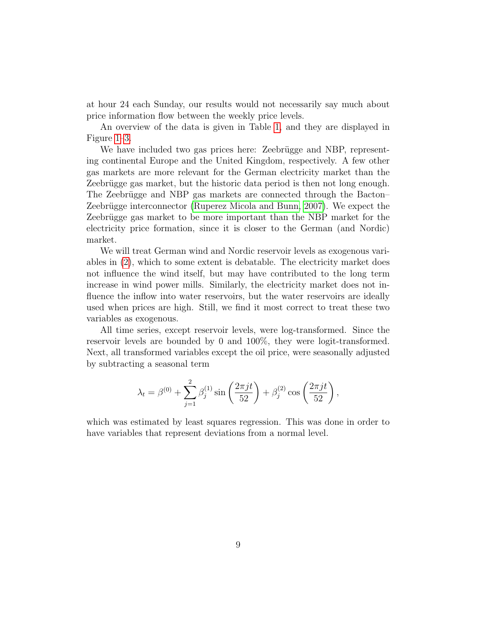at hour 24 each Sunday, our results would not necessarily say much about price information flow between the weekly price levels.

An overview of the data is given in Table [1,](#page-9-0) and they are displayed in Figure [1](#page-10-0)[–3.](#page-12-0)

We have included two gas prices here: Zeebrügge and NBP, representing continental Europe and the United Kingdom, respectively. A few other gas markets are more relevant for the German electricity market than the Zeebrügge gas market, but the historic data period is then not long enough. The Zeebrügge and NBP gas markets are connected through the Bacton– Zeebrügge interconnector [\(Ruperez Micola and Bunn, 2007\)](#page-26-9). We expect the Zeebrügge gas market to be more important than the NBP market for the electricity price formation, since it is closer to the German (and Nordic) market.

We will treat German wind and Nordic reservoir levels as exogenous variables in [\(2\)](#page-3-0), which to some extent is debatable. The electricity market does not influence the wind itself, but may have contributed to the long term increase in wind power mills. Similarly, the electricity market does not influence the inflow into water reservoirs, but the water reservoirs are ideally used when prices are high. Still, we find it most correct to treat these two variables as exogenous.

All time series, except reservoir levels, were log-transformed. Since the reservoir levels are bounded by 0 and 100%, they were logit-transformed. Next, all transformed variables except the oil price, were seasonally adjusted by subtracting a seasonal term

$$
\lambda_t = \beta^{(0)} + \sum_{j=1}^2 \beta_j^{(1)} \sin\left(\frac{2\pi j t}{52}\right) + \beta_j^{(2)} \cos\left(\frac{2\pi j t}{52}\right),
$$

which was estimated by least squares regression. This was done in order to have variables that represent deviations from a normal level.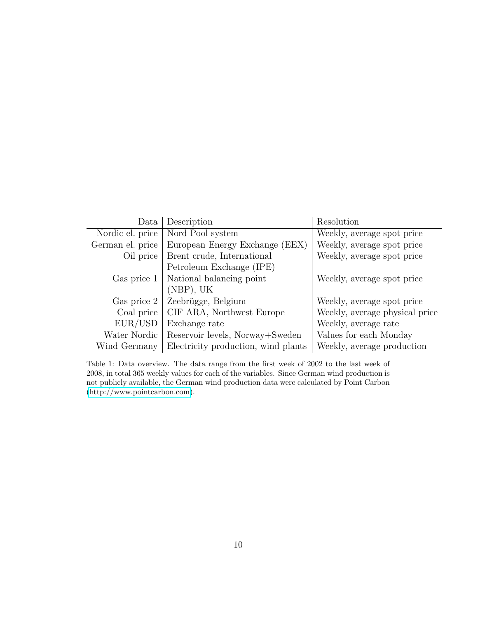| Data             | Description                         | Resolution                     |
|------------------|-------------------------------------|--------------------------------|
| Nordic el. price | Nord Pool system                    | Weekly, average spot price     |
| German el. price | European Energy Exchange (EEX)      | Weekly, average spot price     |
| Oil price        | Brent crude, International          | Weekly, average spot price     |
|                  | Petroleum Exchange (IPE)            |                                |
| Gas price 1      | National balancing point            | Weekly, average spot price     |
|                  | (NBP), UK                           |                                |
| Gas price 2      | Zeebrügge, Belgium                  | Weekly, average spot price     |
| Coal price       | CIF ARA, Northwest Europe           | Weekly, average physical price |
| EUR/USD          | Exchange rate                       | Weekly, average rate           |
| Water Nordic     | Reservoir levels, Norway+Sweden     | Values for each Monday         |
| Wind Germany     | Electricity production, wind plants | Weekly, average production     |

<span id="page-9-0"></span>Table 1: Data overview. The data range from the first week of 2002 to the last week of 2008, in total 365 weekly values for each of the variables. Since German wind production is not publicly available, the German wind production data were calculated by Point Carbon [\(http://www.pointcarbon.com\)](http://www.pointcarbon.com).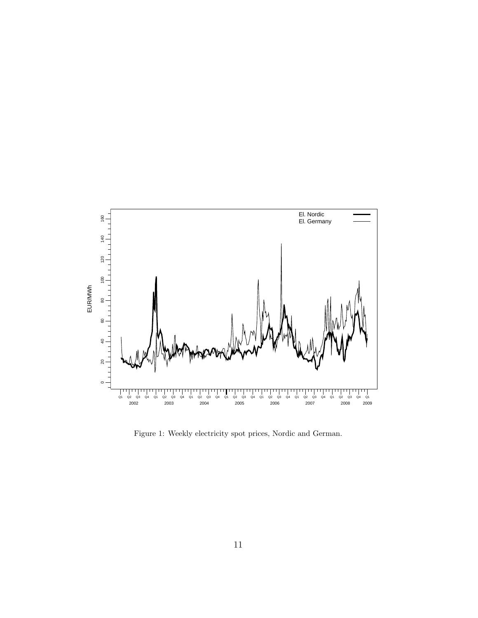

<span id="page-10-0"></span>Figure 1: Weekly electricity spot prices, Nordic and German.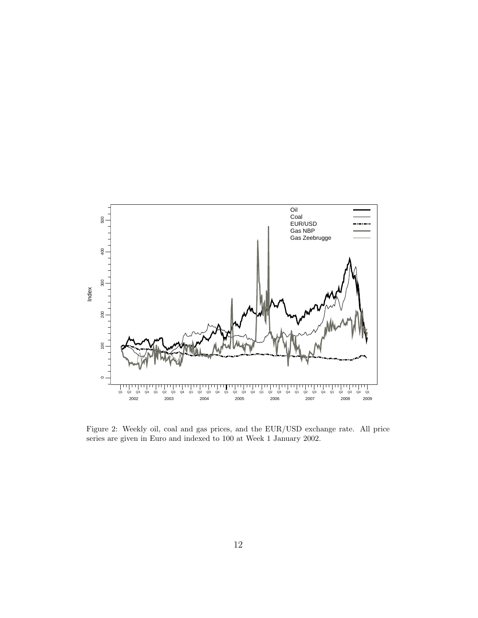

Figure 2: Weekly oil, coal and gas prices, and the EUR/USD exchange rate. All price series are given in Euro and indexed to 100 at Week 1 January 2002.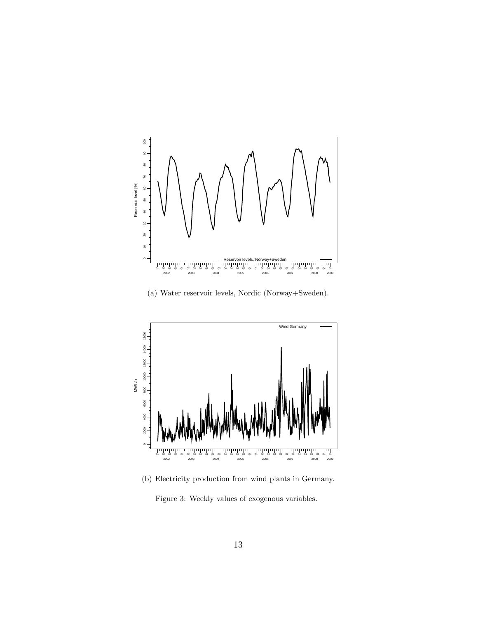

(a) Water reservoir levels, Nordic (Norway+Sweden).



<span id="page-12-0"></span>(b) Electricity production from wind plants in Germany. Figure 3: Weekly values of exogenous variables.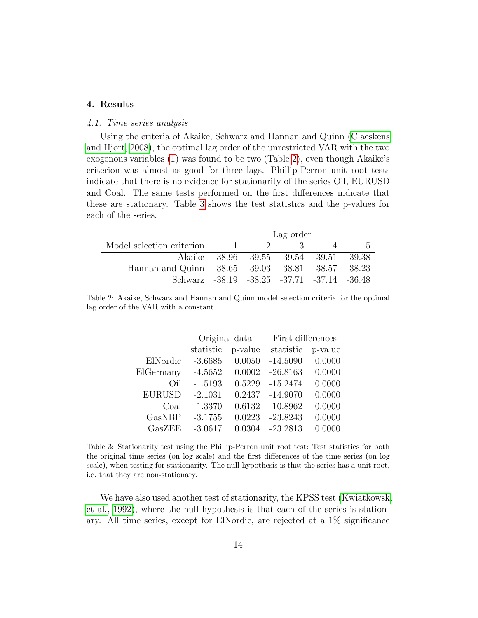# 4. Results

#### 4.1. Time series analysis

Using the criteria of Akaike, Schwarz and Hannan and Quinn [\(Claeskens](#page-24-9) [and Hjort, 2008\)](#page-24-9), the optimal lag order of the unrestricted VAR with the two exogenous variables [\(1\)](#page-2-0) was found to be two (Table [2\)](#page-13-0), even though Akaike's criterion was almost as good for three lags. Phillip-Perron unit root tests indicate that there is no evidence for stationarity of the series Oil, EURUSD and Coal. The same tests performed on the first differences indicate that these are stationary. Table [3](#page-13-1) shows the test statistics and the p-values for each of the series.

|                                                       | Lag order |               |                                             |                |  |
|-------------------------------------------------------|-----------|---------------|---------------------------------------------|----------------|--|
| Model selection criterion   1                         |           | $\mathcal{D}$ | $\mathcal{A}$ and $\mathcal{A}$             | $\overline{4}$ |  |
|                                                       |           |               | Akaike   -38.96 -39.55 -39.54 -39.51 -39.38 |                |  |
| Hannan and Quinn   -38.65 -39.03 -38.81 -38.57 -38.23 |           |               |                                             |                |  |
| Schwarz -38.19 -38.25 -37.71 -37.14 -36.48            |           |               |                                             |                |  |

<span id="page-13-0"></span>Table 2: Akaike, Schwarz and Hannan and Quinn model selection criteria for the optimal lag order of the VAR with a constant.

|               | Original data |         | First differences |         |  |
|---------------|---------------|---------|-------------------|---------|--|
|               | statistic     | p-value | statistic         | p-value |  |
| ElNordic      | $-3.6685$     | 0.0050  | $-14.5090$        | 0.0000  |  |
| ElGermany     | $-4.5652$     | 0.0002  | $-26.8163$        | 0.0000  |  |
| Oil           | $-1.5193$     | 0.5229  | $-15.2474$        | 0.0000  |  |
| <b>EURUSD</b> | $-2.1031$     | 0.2437  | $-14.9070$        | 0.0000  |  |
| Coal          | $-1.3370$     | 0.6132  | $-10.8962$        | 0.0000  |  |
| GasNBP        | $-3.1755$     | 0.0223  | $-23.8243$        | 0.0000  |  |
| GasZEE        | $-3.0617$     | 0.0304  | $-23.2813$        | 0.0000  |  |

<span id="page-13-1"></span>Table 3: Stationarity test using the Phillip-Perron unit root test: Test statistics for both the original time series (on log scale) and the first differences of the time series (on log scale), when testing for stationarity. The null hypothesis is that the series has a unit root, i.e. that they are non-stationary.

We have also used another test of stationarity, the KPSS test [\(Kwiatkowski](#page-25-7) [et al., 1992\)](#page-25-7), where the null hypothesis is that each of the series is stationary. All time series, except for ElNordic, are rejected at a 1% significance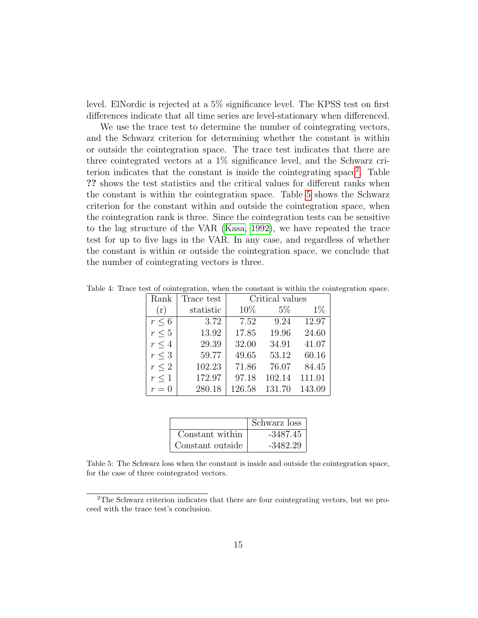level. ElNordic is rejected at a 5% significance level. The KPSS test on first differences indicate that all time series are level-stationary when differenced.

We use the trace test to determine the number of cointegrating vectors, and the Schwarz criterion for determining whether the constant is within or outside the cointegration space. The trace test indicates that there are three cointegrated vectors at a 1% significance level, and the Schwarz criterion indicates that the constant is inside the cointegrating space[2](#page-14-0) . Table ?? shows the test statistics and the critical values for different ranks when the constant is within the cointegration space. Table [5](#page-14-1) shows the Schwarz criterion for the constant within and outside the cointegration space, when the cointegration rank is three. Since the cointegration tests can be sensitive to the lag structure of the VAR [\(Kasa, 1992\)](#page-25-8), we have repeated the trace test for up to five lags in the VAR. In any case, and regardless of whether the constant is within or outside the cointegration space, we conclude that the number of cointegrating vectors is three.

| Rank       | Trace test | Critical values |        |        |
|------------|------------|-----------------|--------|--------|
| (r)        | statistic  | 10%             | $5\%$  | $1\%$  |
| $r \leq 6$ | 3.72       | 7.52            | 9.24   | 12.97  |
| $r \leq 5$ | 13.92      | 17.85           | 19.96  | 24.60  |
| $r \leq 4$ | 29.39      | 32.00           | 34.91  | 41.07  |
| $r \leq 3$ | 59.77      | 49.65           | 53.12  | 60.16  |
| $r \leq 2$ | 102.23     | 71.86           | 76.07  | 84.45  |
| $r \leq 1$ | 172.97     | 97.18           | 102.14 | 111.01 |
| $r=0$      | 280.18     | 126.58          | 131.70 | 143.09 |

Table 4: Trace test of cointegration, when the constant is within the cointegration space.

|                  | Schwarz loss |
|------------------|--------------|
| Constant within  | $-3487.45$   |
| Constant outside | $-3482.29$   |

<span id="page-14-1"></span>Table 5: The Schwarz loss when the constant is inside and outside the cointegration space, for the case of three cointegrated vectors.

<span id="page-14-0"></span><sup>2</sup>The Schwarz criterion indicates that there are four cointegrating vectors, but we proceed with the trace test's conclusion.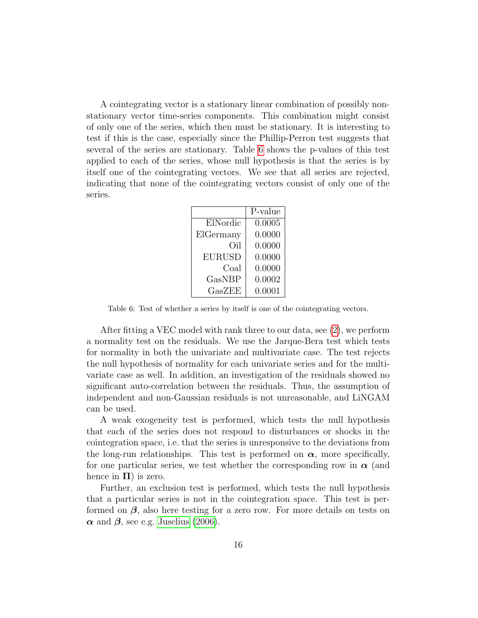A cointegrating vector is a stationary linear combination of possibly nonstationary vector time-series components. This combination might consist of only one of the series, which then must be stationary. It is interesting to test if this is the case, especially since the Phillip-Perron test suggests that several of the series are stationary. Table [6](#page-15-0) shows the p-values of this test applied to each of the series, whose null hypothesis is that the series is by itself one of the cointegrating vectors. We see that all series are rejected, indicating that none of the cointegrating vectors consist of only one of the series.

|               | P-value |
|---------------|---------|
| ElNordic      | 0.0005  |
| ElGermany     | 0.0000  |
| Oil           | 0.0000  |
| <b>EURUSD</b> | 0.0000  |
| Coal          | 0.0000  |
| GasNBP        | 0.0002  |
| GasZEE        | 0.0001  |

<span id="page-15-0"></span>Table 6: Test of whether a series by itself is one of the cointegrating vectors.

After fitting a VEC model with rank three to our data, see [\(2\)](#page-3-0), we perform a normality test on the residuals. We use the Jarque-Bera test which tests for normality in both the univariate and multivariate case. The test rejects the null hypothesis of normality for each univariate series and for the multivariate case as well. In addition, an investigation of the residuals showed no significant auto-correlation between the residuals. Thus, the assumption of independent and non-Gaussian residuals is not unreasonable, and LiNGAM can be used.

A weak exogeneity test is performed, which tests the null hypothesis that each of the series does not respond to disturbances or shocks in the cointegration space, i.e. that the series is unresponsive to the deviations from the long-run relationships. This test is performed on  $\alpha$ , more specifically, for one particular series, we test whether the corresponding row in  $\alpha$  (and hence in  $\Pi$ ) is zero.

Further, an exclusion test is performed, which tests the null hypothesis that a particular series is not in the cointegration space. This test is performed on  $\beta$ , also here testing for a zero row. For more details on tests on  $\alpha$  and  $\beta$ , see e.g. [Juselius](#page-25-3) [\(2006\)](#page-25-3).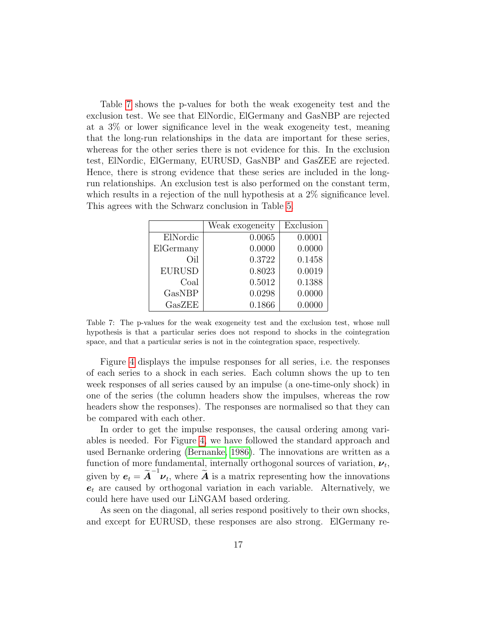Table [7](#page-16-0) shows the p-values for both the weak exogeneity test and the exclusion test. We see that ElNordic, ElGermany and GasNBP are rejected at a 3% or lower significance level in the weak exogeneity test, meaning that the long-run relationships in the data are important for these series, whereas for the other series there is not evidence for this. In the exclusion test, ElNordic, ElGermany, EURUSD, GasNBP and GasZEE are rejected. Hence, there is strong evidence that these series are included in the longrun relationships. An exclusion test is also performed on the constant term, which results in a rejection of the null hypothesis at a 2\% significance level. This agrees with the Schwarz conclusion in Table [5.](#page-14-1)

|               | Weak exogeneity | Exclusion |
|---------------|-----------------|-----------|
| ElNordic      | 0.0065          | 0.0001    |
| ElGermany     | 0.0000          | 0.0000    |
| Oil           | 0.3722          | 0.1458    |
| <b>EURUSD</b> | 0.8023          | 0.0019    |
| Coal          | $0.5012\,$      | 0.1388    |
| GasNBP        | 0.0298          | 0.0000    |
| GasZEE        | 0.1866          | 0.0000    |
|               |                 |           |

<span id="page-16-0"></span>Table 7: The p-values for the weak exogeneity test and the exclusion test, whose null hypothesis is that a particular series does not respond to shocks in the cointegration space, and that a particular series is not in the cointegration space, respectively.

Figure [4](#page-18-0) displays the impulse responses for all series, i.e. the responses of each series to a shock in each series. Each column shows the up to ten week responses of all series caused by an impulse (a one-time-only shock) in one of the series (the column headers show the impulses, whereas the row headers show the responses). The responses are normalised so that they can be compared with each other.

In order to get the impulse responses, the causal ordering among variables is needed. For Figure [4,](#page-18-0) we have followed the standard approach and used Bernanke ordering [\(Bernanke, 1986\)](#page-24-10). The innovations are written as a function of more fundamental, internally orthogonal sources of variation,  $\nu_t$ , given by  $e_t = \tilde{A}^{-1} \nu_t$ , where  $\tilde{A}$  is a matrix representing how the innovations  $e_t$  are caused by orthogonal variation in each variable. Alternatively, we could here have used our LiNGAM based ordering.

As seen on the diagonal, all series respond positively to their own shocks, and except for EURUSD, these responses are also strong. ElGermany re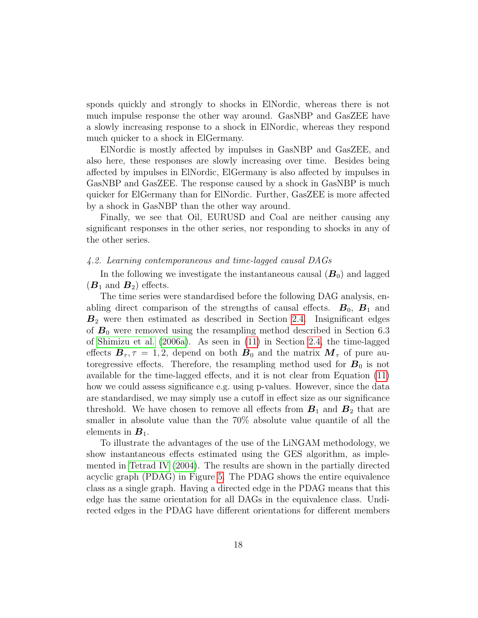sponds quickly and strongly to shocks in ElNordic, whereas there is not much impulse response the other way around. GasNBP and GasZEE have a slowly increasing response to a shock in ElNordic, whereas they respond much quicker to a shock in ElGermany.

ElNordic is mostly affected by impulses in GasNBP and GasZEE, and also here, these responses are slowly increasing over time. Besides being affected by impulses in ElNordic, ElGermany is also affected by impulses in GasNBP and GasZEE. The response caused by a shock in GasNBP is much quicker for ElGermany than for ElNordic. Further, GasZEE is more affected by a shock in GasNBP than the other way around.

Finally, we see that Oil, EURUSD and Coal are neither causing any significant responses in the other series, nor responding to shocks in any of the other series.

#### 4.2. Learning contemporaneous and time-lagged causal DAGs

In the following we investigate the instantaneous causal  $(B_0)$  and lagged  $(B_1 \text{ and } B_2)$  effects.

The time series were standardised before the following DAG analysis, enabling direct comparison of the strengths of causal effects.  $B_0$ ,  $B_1$  and  $B_2$  were then estimated as described in Section [2.4.](#page-5-2) Insignificant edges of  $B_0$  were removed using the resampling method described in Section 6.3 of [Shimizu et al.](#page-26-5) [\(2006a\)](#page-26-5). As seen in [\(11\)](#page-6-0) in Section [2.4,](#page-5-2) the time-lagged effects  $\mathbf{B}_{\tau}$ ,  $\tau = 1, 2$ , depend on both  $\mathbf{B}_0$  and the matrix  $\mathbf{M}_{\tau}$  of pure autoregressive effects. Therefore, the resampling method used for  $B_0$  is not available for the time-lagged effects, and it is not clear from Equation [\(11\)](#page-6-0) how we could assess significance e.g. using p-values. However, since the data are standardised, we may simply use a cutoff in effect size as our significance threshold. We have chosen to remove all effects from  $B_1$  and  $B_2$  that are smaller in absolute value than the 70% absolute value quantile of all the elements in  $B_1$ .

To illustrate the advantages of the use of the LiNGAM methodology, we show instantaneous effects estimated using the GES algorithm, as implemented in [Tetrad IV](#page-26-8) [\(2004\)](#page-26-8). The results are shown in the partially directed acyclic graph (PDAG) in Figure [5.](#page-19-0) The PDAG shows the entire equivalence class as a single graph. Having a directed edge in the PDAG means that this edge has the same orientation for all DAGs in the equivalence class. Undirected edges in the PDAG have different orientations for different members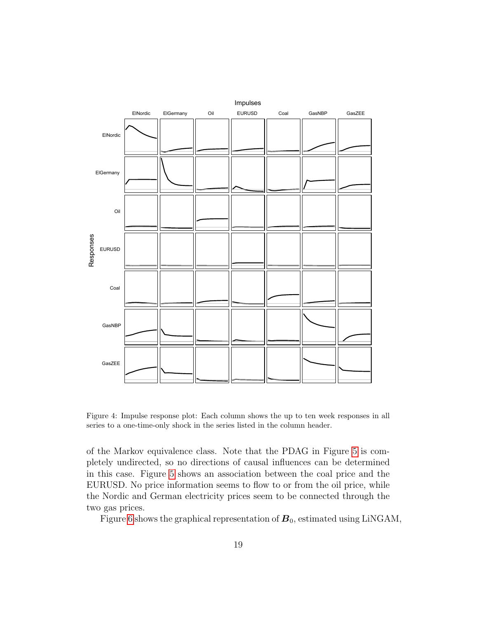

<span id="page-18-0"></span>Figure 4: Impulse response plot: Each column shows the up to ten week responses in all series to a one-time-only shock in the series listed in the column header.

of the Markov equivalence class. Note that the PDAG in Figure [5](#page-19-0) is completely undirected, so no directions of causal influences can be determined in this case. Figure [5](#page-19-0) shows an association between the coal price and the EURUSD. No price information seems to flow to or from the oil price, while the Nordic and German electricity prices seem to be connected through the two gas prices.

Figure [6](#page-19-1) shows the graphical representation of  $B_0$ , estimated using LiNGAM,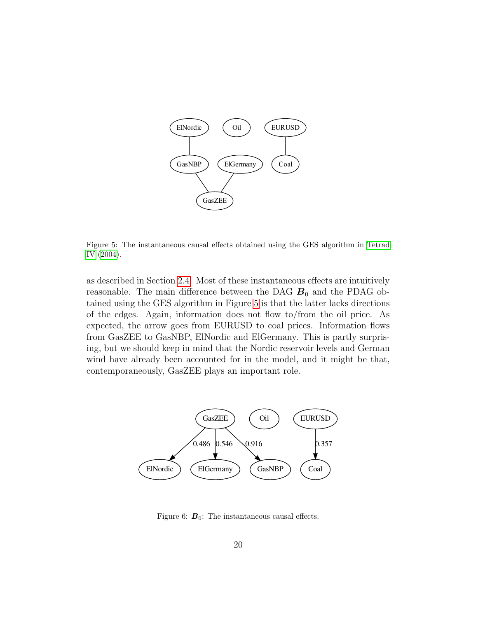

<span id="page-19-0"></span>Figure 5: The instantaneous causal effects obtained using the GES algorithm in [Tetrad](#page-26-8) [IV](#page-26-8) [\(2004\)](#page-26-8).

as described in Section [2.4.](#page-5-2) Most of these instantaneous effects are intuitively reasonable. The main difference between the DAG  $B_0$  and the PDAG obtained using the GES algorithm in Figure [5](#page-19-0) is that the latter lacks directions of the edges. Again, information does not flow to/from the oil price. As expected, the arrow goes from EURUSD to coal prices. Information flows from GasZEE to GasNBP, ElNordic and ElGermany. This is partly surprising, but we should keep in mind that the Nordic reservoir levels and German wind have already been accounted for in the model, and it might be that, contemporaneously, GasZEE plays an important role.



<span id="page-19-1"></span>Figure 6:  $\mathbf{B}_0$ : The instantaneous causal effects.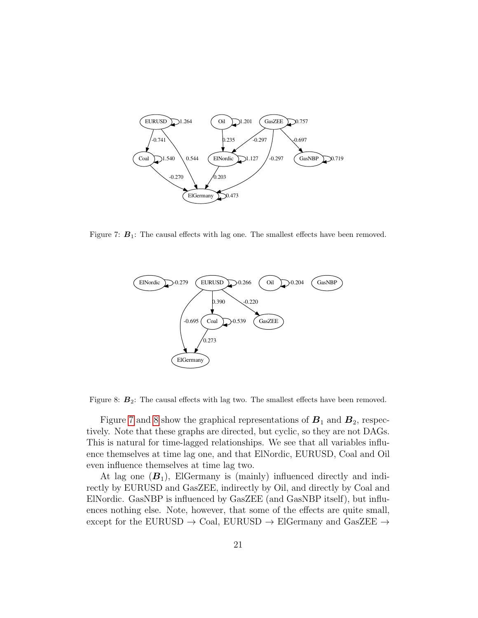

<span id="page-20-0"></span>Figure 7:  $B_1$ : The causal effects with lag one. The smallest effects have been removed.



<span id="page-20-1"></span>Figure 8:  $B_2$ : The causal effects with lag two. The smallest effects have been removed.

Figure [7](#page-20-0) and [8](#page-20-1) show the graphical representations of  $B_1$  and  $B_2$ , respectively. Note that these graphs are directed, but cyclic, so they are not DAGs. This is natural for time-lagged relationships. We see that all variables influence themselves at time lag one, and that ElNordic, EURUSD, Coal and Oil even influence themselves at time lag two.

At lag one  $(B_1)$ , ElGermany is (mainly) influenced directly and indirectly by EURUSD and GasZEE, indirectly by Oil, and directly by Coal and ElNordic. GasNBP is influenced by GasZEE (and GasNBP itself), but influences nothing else. Note, however, that some of the effects are quite small, except for the EURUSD  $\rightarrow$  Coal, EURUSD  $\rightarrow$  ElGermany and GasZEE  $\rightarrow$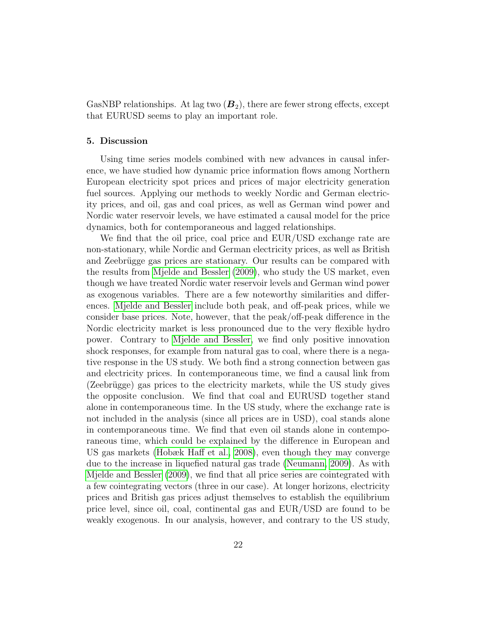GasNBP relationships. At lag two  $(B_2)$ , there are fewer strong effects, except that EURUSD seems to play an important role.

# 5. Discussion

Using time series models combined with new advances in causal inference, we have studied how dynamic price information flows among Northern European electricity spot prices and prices of major electricity generation fuel sources. Applying our methods to weekly Nordic and German electricity prices, and oil, gas and coal prices, as well as German wind power and Nordic water reservoir levels, we have estimated a causal model for the price dynamics, both for contemporaneous and lagged relationships.

We find that the oil price, coal price and EUR/USD exchange rate are non-stationary, while Nordic and German electricity prices, as well as British and Zeebrügge gas prices are stationary. Our results can be compared with the results from [Mjelde and Bessler](#page-25-0) [\(2009\)](#page-25-0), who study the US market, even though we have treated Nordic water reservoir levels and German wind power as exogenous variables. There are a few noteworthy similarities and differences. [Mjelde and Bessler](#page-25-0) include both peak, and off-peak prices, while we consider base prices. Note, however, that the peak/off-peak difference in the Nordic electricity market is less pronounced due to the very flexible hydro power. Contrary to [Mjelde and Bessler,](#page-25-0) we find only positive innovation shock responses, for example from natural gas to coal, where there is a negative response in the US study. We both find a strong connection between gas and electricity prices. In contemporaneous time, we find a causal link from (Zeebrügge) gas prices to the electricity markets, while the US study gives the opposite conclusion. We find that coal and EURUSD together stand alone in contemporaneous time. In the US study, where the exchange rate is not included in the analysis (since all prices are in USD), coal stands alone in contemporaneous time. We find that even oil stands alone in contemporaneous time, which could be explained by the difference in European and US gas markets [\(Hobæk Haff et al., 2008\)](#page-24-11), even though they may converge due to the increase in liquefied natural gas trade [\(Neumann, 2009\)](#page-26-11). As with [Mjelde and Bessler](#page-25-0) [\(2009\)](#page-25-0), we find that all price series are cointegrated with a few cointegrating vectors (three in our case). At longer horizons, electricity prices and British gas prices adjust themselves to establish the equilibrium price level, since oil, coal, continental gas and EUR/USD are found to be weakly exogenous. In our analysis, however, and contrary to the US study,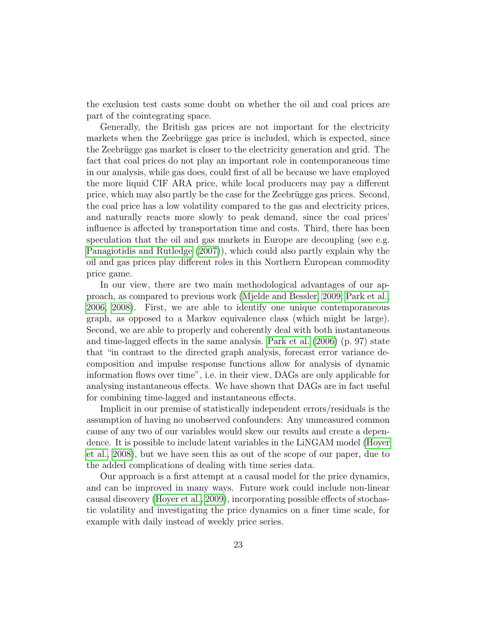the exclusion test casts some doubt on whether the oil and coal prices are part of the cointegrating space.

Generally, the British gas prices are not important for the electricity markets when the Zeebrügge gas price is included, which is expected, since the Zeebrügge gas market is closer to the electricity generation and grid. The fact that coal prices do not play an important role in contemporaneous time in our analysis, while gas does, could first of all be because we have employed the more liquid CIF ARA price, while local producers may pay a different price, which may also partly be the case for the Zeebrügge gas prices. Second, the coal price has a low volatility compared to the gas and electricity prices, and naturally reacts more slowly to peak demand, since the coal prices' influence is affected by transportation time and costs. Third, there has been speculation that the oil and gas markets in Europe are decoupling (see e.g. [Panagiotidis and Rutledge](#page-26-12) [\(2007\)](#page-26-12)), which could also partly explain why the oil and gas prices play different roles in this Northern European commodity price game.

In our view, there are two main methodological advantages of our approach, as compared to previous work [\(Mjelde and Bessler, 2009;](#page-25-0) [Park et al.,](#page-26-0) [2006,](#page-26-0) [2008\)](#page-26-1). First, we are able to identify one unique contemporaneous graph, as opposed to a Markov equivalence class (which might be large). Second, we are able to properly and coherently deal with both instantaneous and time-lagged effects in the same analysis. [Park et al.](#page-26-0) [\(2006\)](#page-26-0) (p. 97) state that "in contrast to the directed graph analysis, forecast error variance decomposition and impulse response functions allow for analysis of dynamic information flows over time", i.e. in their view, DAGs are only applicable for analysing instantaneous effects. We have shown that DAGs are in fact useful for combining time-lagged and instantaneous effects.

Implicit in our premise of statistically independent errors/residuals is the assumption of having no unobserved confounders: Any unmeasured common cause of any two of our variables would skew our results and create a dependence. It is possible to include latent variables in the LiNGAM model [\(Hoyer](#page-25-9) [et al., 2008\)](#page-25-9), but we have seen this as out of the scope of our paper, due to the added complications of dealing with time series data.

Our approach is a first attempt at a causal model for the price dynamics, and can be improved in many ways. Future work could include non-linear causal discovery [\(Hoyer et al., 2009\)](#page-25-10), incorporating possible effects of stochastic volatility and investigating the price dynamics on a finer time scale, for example with daily instead of weekly price series.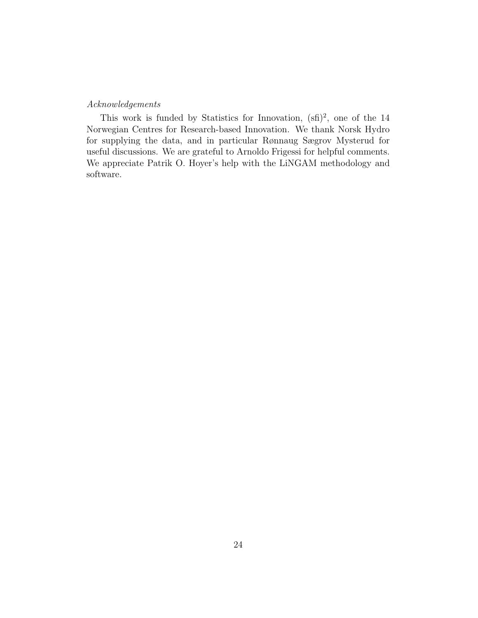# Acknowledgements

This work is funded by Statistics for Innovation,  $(\text{sf})^2$ , one of the 14 Norwegian Centres for Research-based Innovation. We thank Norsk Hydro for supplying the data, and in particular Rønnaug Sægrov Mysterud for useful discussions. We are grateful to Arnoldo Frigessi for helpful comments. We appreciate Patrik O. Hoyer's help with the LiNGAM methodology and software.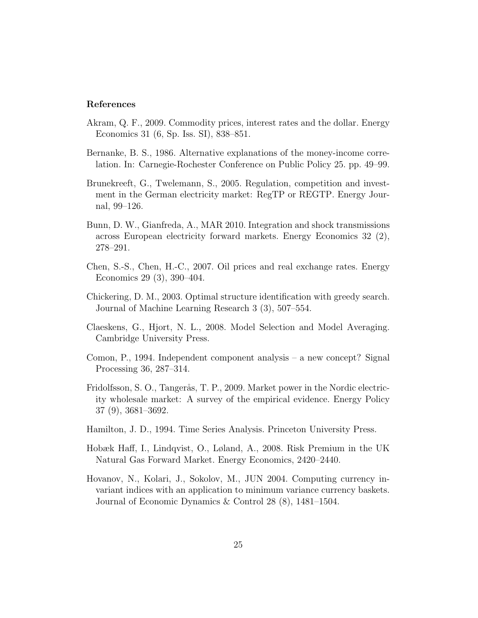## References

- <span id="page-24-8"></span>Akram, Q. F., 2009. Commodity prices, interest rates and the dollar. Energy Economics 31 (6, Sp. Iss. SI), 838–851.
- <span id="page-24-10"></span>Bernanke, B. S., 1986. Alternative explanations of the money-income correlation. In: Carnegie-Rochester Conference on Public Policy 25. pp. 49–99.
- <span id="page-24-1"></span>Brunekreeft, G., Twelemann, S., 2005. Regulation, competition and investment in the German electricity market: RegTP or REGTP. Energy Journal, 99–126.
- <span id="page-24-5"></span>Bunn, D. W., Gianfreda, A., MAR 2010. Integration and shock transmissions across European electricity forward markets. Energy Economics 32 (2), 278–291.
- <span id="page-24-7"></span>Chen, S.-S., Chen, H.-C., 2007. Oil prices and real exchange rates. Energy Economics 29 (3), 390–404.
- <span id="page-24-2"></span>Chickering, D. M., 2003. Optimal structure identification with greedy search. Journal of Machine Learning Research 3 (3), 507–554.
- <span id="page-24-9"></span>Claeskens, G., Hjort, N. L., 2008. Model Selection and Model Averaging. Cambridge University Press.
- <span id="page-24-4"></span>Comon, P., 1994. Independent component analysis – a new concept? Signal Processing 36, 287–314.
- <span id="page-24-0"></span>Fridolfsson, S. O., Tangerås, T. P., 2009. Market power in the Nordic electricity wholesale market: A survey of the empirical evidence. Energy Policy 37 (9), 3681–3692.
- <span id="page-24-3"></span>Hamilton, J. D., 1994. Time Series Analysis. Princeton University Press.
- <span id="page-24-11"></span>Hobæk Haff, I., Lindqvist, O., Løland, A., 2008. Risk Premium in the UK Natural Gas Forward Market. Energy Economics, 2420–2440.
- <span id="page-24-6"></span>Hovanov, N., Kolari, J., Sokolov, M., JUN 2004. Computing currency invariant indices with an application to minimum variance currency baskets. Journal of Economic Dynamics & Control 28 (8), 1481–1504.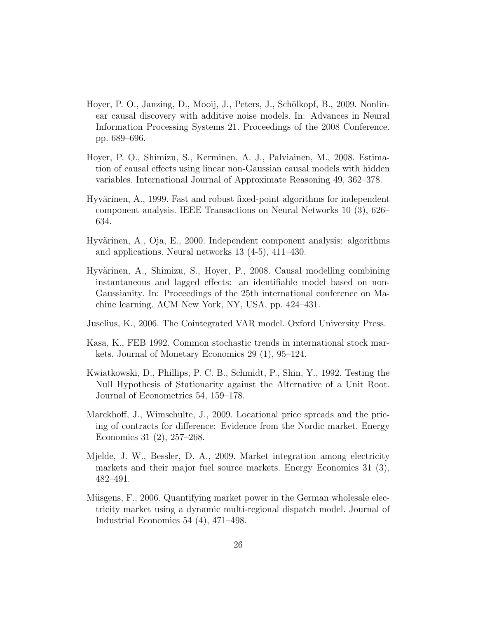- <span id="page-25-10"></span>Hoyer, P. O., Janzing, D., Mooij, J., Peters, J., Schölkopf, B., 2009. Nonlinear causal discovery with additive noise models. In: Advances in Neural Information Processing Systems 21. Proceedings of the 2008 Conference. pp. 689–696.
- <span id="page-25-9"></span>Hoyer, P. O., Shimizu, S., Kerminen, A. J., Palviainen, M., 2008. Estimation of causal effects using linear non-Gaussian causal models with hidden variables. International Journal of Approximate Reasoning 49, 362–378.
- <span id="page-25-5"></span>Hyvärinen, A., 1999. Fast and robust fixed-point algorithms for independent component analysis. IEEE Transactions on Neural Networks 10 (3), 626– 634.
- <span id="page-25-4"></span>Hyvärinen, A., Oja, E., 2000. Independent component analysis: algorithms and applications. Neural networks 13 (4-5), 411–430.
- <span id="page-25-6"></span>Hyv¨arinen, A., Shimizu, S., Hoyer, P., 2008. Causal modelling combining instantaneous and lagged effects: an identifiable model based on non-Gaussianity. In: Proceedings of the 25th international conference on Machine learning. ACM New York, NY, USA, pp. 424–431.
- <span id="page-25-3"></span>Juselius, K., 2006. The Cointegrated VAR model. Oxford University Press.
- <span id="page-25-8"></span>Kasa, K., FEB 1992. Common stochastic trends in international stock markets. Journal of Monetary Economics 29 (1), 95–124.
- <span id="page-25-7"></span>Kwiatkowski, D., Phillips, P. C. B., Schmidt, P., Shin, Y., 1992. Testing the Null Hypothesis of Stationarity against the Alternative of a Unit Root. Journal of Econometrics 54, 159–178.
- <span id="page-25-1"></span>Marckhoff, J., Wimschulte, J., 2009. Locational price spreads and the pricing of contracts for difference: Evidence from the Nordic market. Energy Economics 31 (2), 257–268.
- <span id="page-25-0"></span>Mjelde, J. W., Bessler, D. A., 2009. Market integration among electricity markets and their major fuel source markets. Energy Economics 31 (3), 482–491.
- <span id="page-25-2"></span>Müsgens, F., 2006. Quantifying market power in the German wholesale electricity market using a dynamic multi-regional dispatch model. Journal of Industrial Economics 54 (4), 471–498.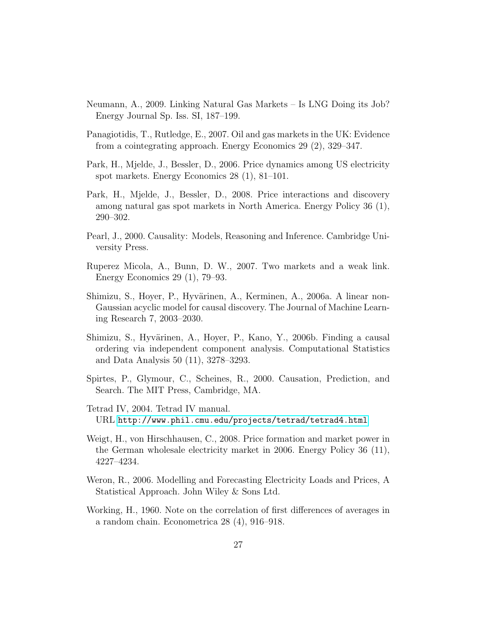- <span id="page-26-11"></span>Neumann, A., 2009. Linking Natural Gas Markets – Is LNG Doing its Job? Energy Journal Sp. Iss. SI, 187–199.
- <span id="page-26-12"></span>Panagiotidis, T., Rutledge, E., 2007. Oil and gas markets in the UK: Evidence from a cointegrating approach. Energy Economics 29 (2), 329–347.
- <span id="page-26-0"></span>Park, H., Mjelde, J., Bessler, D., 2006. Price dynamics among US electricity spot markets. Energy Economics 28 (1), 81–101.
- <span id="page-26-1"></span>Park, H., Mjelde, J., Bessler, D., 2008. Price interactions and discovery among natural gas spot markets in North America. Energy Policy 36 (1), 290–302.
- <span id="page-26-7"></span>Pearl, J., 2000. Causality: Models, Reasoning and Inference. Cambridge University Press.
- <span id="page-26-9"></span>Ruperez Micola, A., Bunn, D. W., 2007. Two markets and a weak link. Energy Economics 29 (1), 79–93.
- <span id="page-26-5"></span>Shimizu, S., Hoyer, P., Hyvärinen, A., Kerminen, A., 2006a. A linear non-Gaussian acyclic model for causal discovery. The Journal of Machine Learning Research 7, 2003–2030.
- <span id="page-26-6"></span>Shimizu, S., Hyvärinen, A., Hoyer, P., Kano, Y., 2006b. Finding a causal ordering via independent component analysis. Computational Statistics and Data Analysis 50 (11), 3278–3293.
- <span id="page-26-4"></span>Spirtes, P., Glymour, C., Scheines, R., 2000. Causation, Prediction, and Search. The MIT Press, Cambridge, MA.
- <span id="page-26-8"></span>Tetrad IV, 2004. Tetrad IV manual. URL <http://www.phil.cmu.edu/projects/tetrad/tetrad4.html>
- <span id="page-26-3"></span>Weigt, H., von Hirschhausen, C., 2008. Price formation and market power in the German wholesale electricity market in 2006. Energy Policy 36 (11), 4227–4234.
- <span id="page-26-2"></span>Weron, R., 2006. Modelling and Forecasting Electricity Loads and Prices, A Statistical Approach. John Wiley & Sons Ltd.
- <span id="page-26-10"></span>Working, H., 1960. Note on the correlation of first differences of averages in a random chain. Econometrica 28 (4), 916–918.